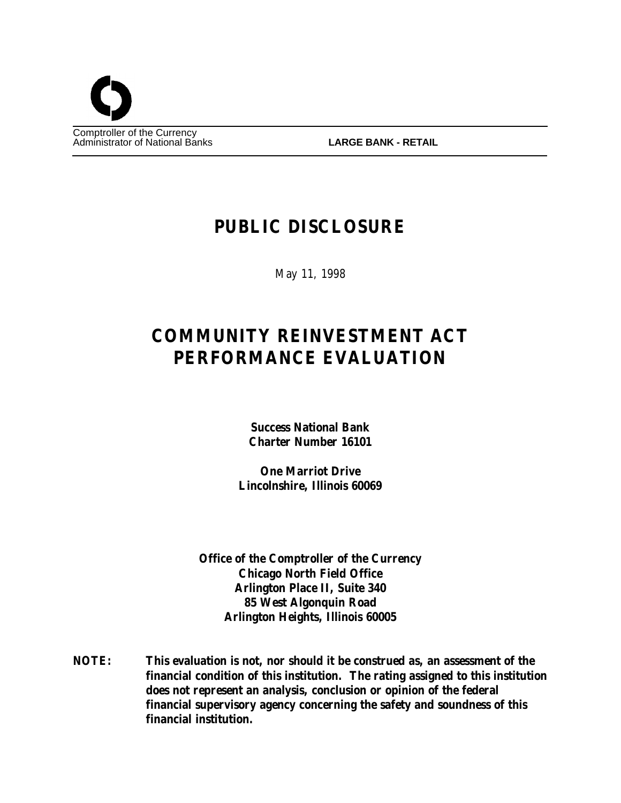

# **PUBLIC DISCLOSURE**

May 11, 1998

# **COMMUNITY REINVESTMENT ACT PERFORMANCE EVALUATION**

**Success National Bank Charter Number 16101**

**One Marriot Drive Lincolnshire, Illinois 60069**

**Office of the Comptroller of the Currency Chicago North Field Office Arlington Place II, Suite 340 85 West Algonquin Road Arlington Heights, Illinois 60005**

**NOTE: This evaluation is not, nor should it be construed as, an assessment of the financial condition of this institution. The rating assigned to this institution does not represent an analysis, conclusion or opinion of the federal financial supervisory agency concerning the safety and soundness of this financial institution.**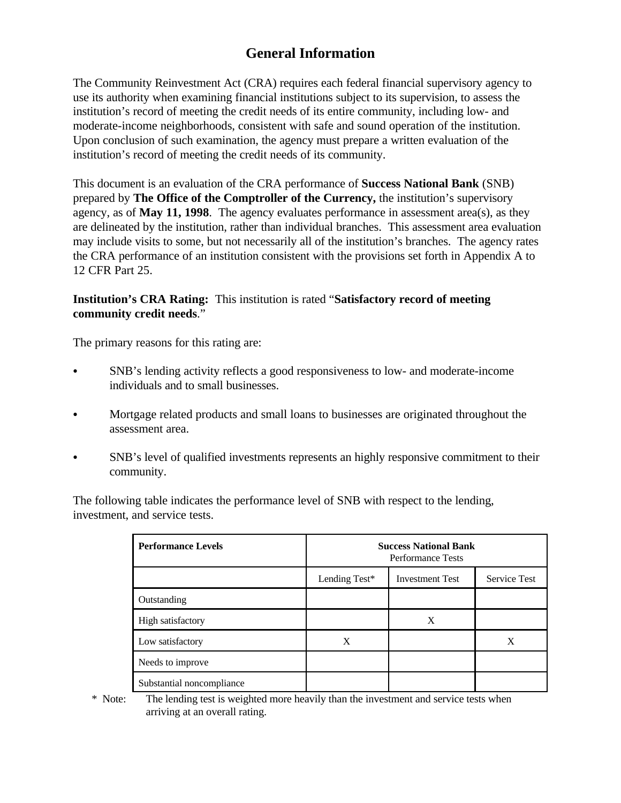# **General Information**

The Community Reinvestment Act (CRA) requires each federal financial supervisory agency to use its authority when examining financial institutions subject to its supervision, to assess the institution's record of meeting the credit needs of its entire community, including low- and moderate-income neighborhoods, consistent with safe and sound operation of the institution. Upon conclusion of such examination, the agency must prepare a written evaluation of the institution's record of meeting the credit needs of its community.

This document is an evaluation of the CRA performance of **Success National Bank** (SNB) prepared by **The Office of the Comptroller of the Currency,** the institution's supervisory agency, as of **May 11, 1998**. The agency evaluates performance in assessment area(s), as they are delineated by the institution, rather than individual branches. This assessment area evaluation may include visits to some, but not necessarily all of the institution's branches. The agency rates the CRA performance of an institution consistent with the provisions set forth in Appendix A to 12 CFR Part 25.

# **Institution's CRA Rating:** This institution is rated "**Satisfactory record of meeting community credit needs**."

The primary reasons for this rating are:

- SNB's lending activity reflects a good responsiveness to low- and moderate-income individuals and to small businesses.
- Mortgage related products and small loans to businesses are originated throughout the assessment area.
- C SNB's level of qualified investments represents an highly responsive commitment to their community.

The following table indicates the performance level of SNB with respect to the lending, investment, and service tests.

| <b>Performance Levels</b> | <b>Success National Bank</b><br><b>Performance Tests</b> |                        |                     |  |  |
|---------------------------|----------------------------------------------------------|------------------------|---------------------|--|--|
|                           | Lending Test*                                            | <b>Investment Test</b> | <b>Service Test</b> |  |  |
| Outstanding               |                                                          |                        |                     |  |  |
| High satisfactory         |                                                          | X                      |                     |  |  |
| Low satisfactory          | X                                                        |                        | X                   |  |  |
| Needs to improve          |                                                          |                        |                     |  |  |
| Substantial noncompliance |                                                          |                        |                     |  |  |

 \* Note: The lending test is weighted more heavily than the investment and service tests when arriving at an overall rating.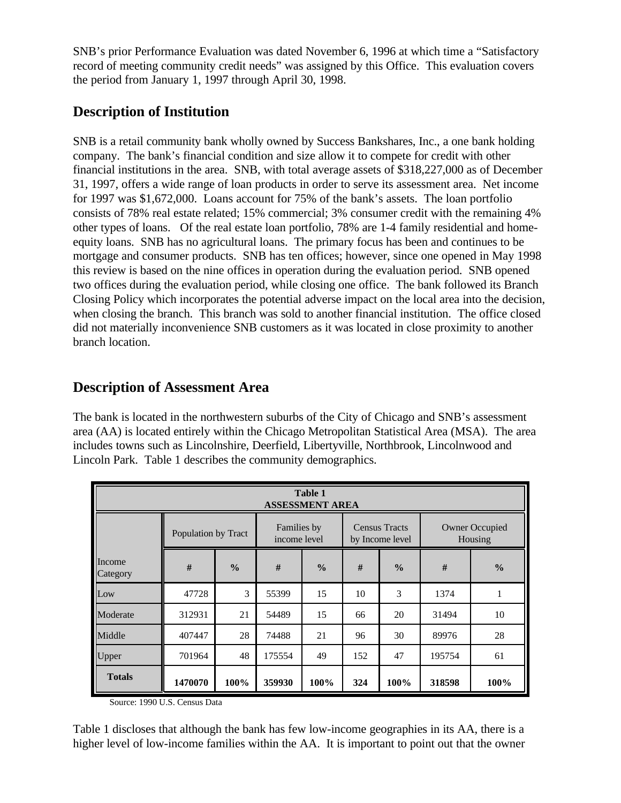SNB's prior Performance Evaluation was dated November 6, 1996 at which time a "Satisfactory record of meeting community credit needs" was assigned by this Office. This evaluation covers the period from January 1, 1997 through April 30, 1998.

# **Description of Institution**

SNB is a retail community bank wholly owned by Success Bankshares, Inc., a one bank holding company. The bank's financial condition and size allow it to compete for credit with other financial institutions in the area. SNB, with total average assets of \$318,227,000 as of December 31, 1997, offers a wide range of loan products in order to serve its assessment area. Net income for 1997 was \$1,672,000. Loans account for 75% of the bank's assets. The loan portfolio consists of 78% real estate related; 15% commercial; 3% consumer credit with the remaining 4% other types of loans. Of the real estate loan portfolio, 78% are 1-4 family residential and homeequity loans. SNB has no agricultural loans. The primary focus has been and continues to be mortgage and consumer products. SNB has ten offices; however, since one opened in May 1998 this review is based on the nine offices in operation during the evaluation period. SNB opened two offices during the evaluation period, while closing one office. The bank followed its Branch Closing Policy which incorporates the potential adverse impact on the local area into the decision, when closing the branch. This branch was sold to another financial institution. The office closed did not materially inconvenience SNB customers as it was located in close proximity to another branch location.

# **Description of Assessment Area**

The bank is located in the northwestern suburbs of the City of Chicago and SNB's assessment area (AA) is located entirely within the Chicago Metropolitan Statistical Area (MSA). The area includes towns such as Lincolnshire, Deerfield, Libertyville, Northbrook, Lincolnwood and Lincoln Park. Table 1 describes the community demographics.

| <b>Table 1</b><br><b>ASSESSMENT AREA</b> |                     |               |                             |               |                                         |               |                                  |               |  |
|------------------------------------------|---------------------|---------------|-----------------------------|---------------|-----------------------------------------|---------------|----------------------------------|---------------|--|
|                                          | Population by Tract |               | Families by<br>income level |               | <b>Census Tracts</b><br>by Income level |               | <b>Owner Occupied</b><br>Housing |               |  |
| Income<br>Category                       | #                   | $\frac{0}{0}$ | #                           | $\frac{0}{0}$ | #                                       | $\frac{0}{0}$ | #                                | $\frac{0}{0}$ |  |
| Low                                      | 47728               | 3             | 55399                       | 15            | 10                                      | 3             | 1374                             | $\mathbf{1}$  |  |
| Moderate                                 | 312931              | 21            | 54489                       | 15            | 66                                      | 20            | 31494                            | 10            |  |
| Middle                                   | 407447              | 28            | 74488                       | 21            | 96                                      | 30            | 89976                            | 28            |  |
| Upper                                    | 701964              | 48            | 175554                      | 49            | 152                                     | 47            | 195754                           | 61            |  |
| <b>Totals</b>                            | 1470070             | 100%          | 359930                      | 100%          | 324                                     | 100%          | 318598                           | 100%          |  |

Source: 1990 U.S. Census Data

Table 1 discloses that although the bank has few low-income geographies in its AA, there is a higher level of low-income families within the AA. It is important to point out that the owner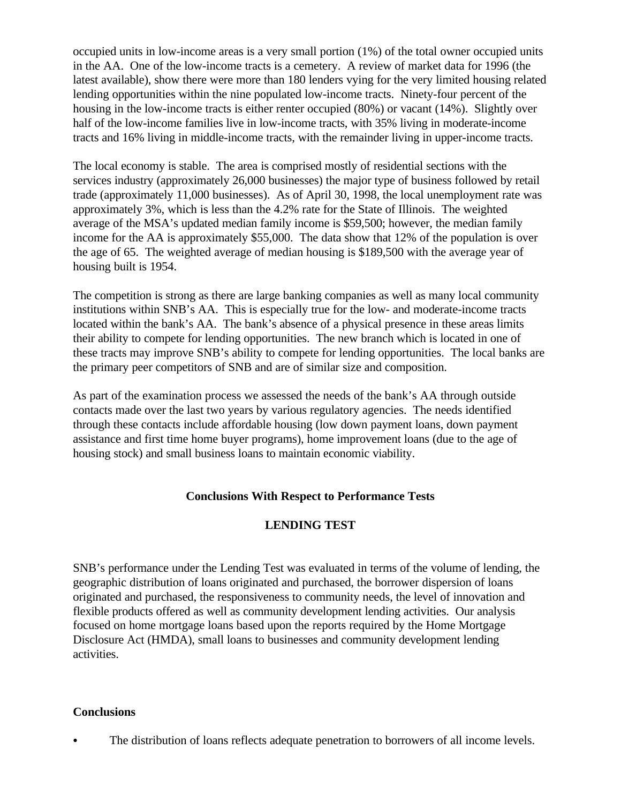occupied units in low-income areas is a very small portion (1%) of the total owner occupied units in the AA. One of the low-income tracts is a cemetery. A review of market data for 1996 (the latest available), show there were more than 180 lenders vying for the very limited housing related lending opportunities within the nine populated low-income tracts. Ninety-four percent of the housing in the low-income tracts is either renter occupied (80%) or vacant (14%). Slightly over half of the low-income families live in low-income tracts, with 35% living in moderate-income tracts and 16% living in middle-income tracts, with the remainder living in upper-income tracts.

The local economy is stable. The area is comprised mostly of residential sections with the services industry (approximately 26,000 businesses) the major type of business followed by retail trade (approximately 11,000 businesses). As of April 30, 1998, the local unemployment rate was approximately 3%, which is less than the 4.2% rate for the State of Illinois. The weighted average of the MSA's updated median family income is \$59,500; however, the median family income for the AA is approximately \$55,000. The data show that 12% of the population is over the age of 65. The weighted average of median housing is \$189,500 with the average year of housing built is 1954.

The competition is strong as there are large banking companies as well as many local community institutions within SNB's AA. This is especially true for the low- and moderate-income tracts located within the bank's AA. The bank's absence of a physical presence in these areas limits their ability to compete for lending opportunities. The new branch which is located in one of these tracts may improve SNB's ability to compete for lending opportunities. The local banks are the primary peer competitors of SNB and are of similar size and composition.

As part of the examination process we assessed the needs of the bank's AA through outside contacts made over the last two years by various regulatory agencies. The needs identified through these contacts include affordable housing (low down payment loans, down payment assistance and first time home buyer programs), home improvement loans (due to the age of housing stock) and small business loans to maintain economic viability.

# **Conclusions With Respect to Performance Tests**

# **LENDING TEST**

SNB's performance under the Lending Test was evaluated in terms of the volume of lending, the geographic distribution of loans originated and purchased, the borrower dispersion of loans originated and purchased, the responsiveness to community needs, the level of innovation and flexible products offered as well as community development lending activities. Our analysis focused on home mortgage loans based upon the reports required by the Home Mortgage Disclosure Act (HMDA), small loans to businesses and community development lending activities.

#### **Conclusions**

The distribution of loans reflects adequate penetration to borrowers of all income levels.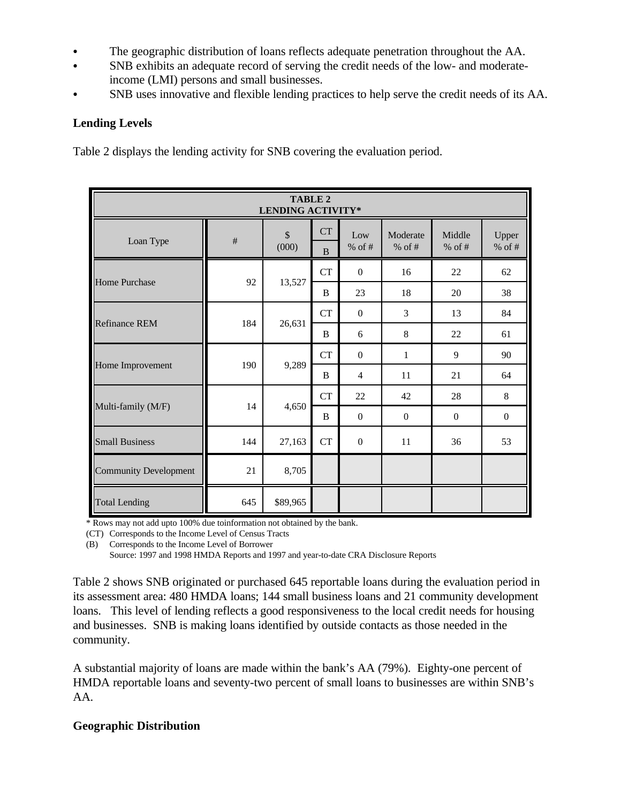- The geographic distribution of loans reflects adequate penetration throughout the AA.
- SNB exhibits an adequate record of serving the credit needs of the low- and moderateincome (LMI) persons and small businesses.
- SNB uses innovative and flexible lending practices to help serve the credit needs of its AA.

# **Lending Levels**

Table 2 displays the lending activity for SNB covering the evaluation period.

| <b>TABLE 2</b><br><b>LENDING ACTIVITY*</b> |      |             |                |                  |                      |                    |                   |  |
|--------------------------------------------|------|-------------|----------------|------------------|----------------------|--------------------|-------------------|--|
| Loan Type                                  | $\#$ | \$<br>(000) | <b>CT</b><br>B | Low<br>$%$ of #  | Moderate<br>$%$ of # | Middle<br>% of $#$ | Upper<br>% of $#$ |  |
|                                            |      | 13,527      | <b>CT</b>      | $\mathbf{0}$     | 16                   | 22                 | 62                |  |
| <b>Home Purchase</b>                       | 92   |             | B              | 23               | 18                   | 20                 | 38                |  |
|                                            | 184  | 26,631      | CT             | $\overline{0}$   | 3                    | 13                 | 84                |  |
| <b>Refinance REM</b>                       |      |             | B              | 6                | 8                    | 22                 | 61                |  |
|                                            | 190  | 9,289       | <b>CT</b>      | $\mathbf{0}$     | $\mathbf{1}$         | 9                  | 90                |  |
| Home Improvement                           |      |             | B              | $\overline{4}$   | 11                   | 21                 | 64                |  |
|                                            | 14   | 4,650       | <b>CT</b>      | 22               | 42                   | 28                 | 8                 |  |
| Multi-family (M/F)                         |      |             | B              | $\boldsymbol{0}$ | $\mathbf{0}$         | $\boldsymbol{0}$   | $\boldsymbol{0}$  |  |
| <b>Small Business</b>                      | 144  | 27,163      | <b>CT</b>      | $\mathbf{0}$     | 11                   | 36                 | 53                |  |
| <b>Community Development</b>               | 21   | 8,705       |                |                  |                      |                    |                   |  |
| <b>Total Lending</b>                       | 645  | \$89,965    |                |                  |                      |                    |                   |  |

\* Rows may not add upto 100% due toinformation not obtained by the bank.

(CT) Corresponds to the Income Level of Census Tracts

(B) Corresponds to the Income Level of Borrower

Source: 1997 and 1998 HMDA Reports and 1997 and year-to-date CRA Disclosure Reports

Table 2 shows SNB originated or purchased 645 reportable loans during the evaluation period in its assessment area: 480 HMDA loans; 144 small business loans and 21 community development loans. This level of lending reflects a good responsiveness to the local credit needs for housing and businesses. SNB is making loans identified by outside contacts as those needed in the community.

A substantial majority of loans are made within the bank's AA (79%). Eighty-one percent of HMDA reportable loans and seventy-two percent of small loans to businesses are within SNB's AA.

# **Geographic Distribution**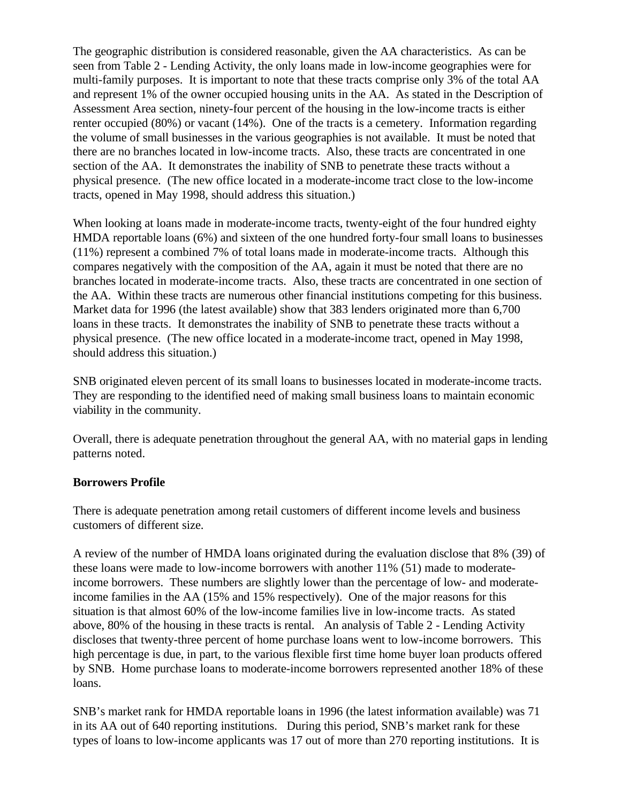The geographic distribution is considered reasonable, given the AA characteristics. As can be seen from Table 2 - Lending Activity, the only loans made in low-income geographies were for multi-family purposes. It is important to note that these tracts comprise only 3% of the total AA and represent 1% of the owner occupied housing units in the AA. As stated in the Description of Assessment Area section, ninety-four percent of the housing in the low-income tracts is either renter occupied (80%) or vacant (14%). One of the tracts is a cemetery. Information regarding the volume of small businesses in the various geographies is not available. It must be noted that there are no branches located in low-income tracts. Also, these tracts are concentrated in one section of the AA. It demonstrates the inability of SNB to penetrate these tracts without a physical presence. (The new office located in a moderate-income tract close to the low-income tracts, opened in May 1998, should address this situation.)

When looking at loans made in moderate-income tracts, twenty-eight of the four hundred eighty HMDA reportable loans (6%) and sixteen of the one hundred forty-four small loans to businesses (11%) represent a combined 7% of total loans made in moderate-income tracts. Although this compares negatively with the composition of the AA, again it must be noted that there are no branches located in moderate-income tracts. Also, these tracts are concentrated in one section of the AA. Within these tracts are numerous other financial institutions competing for this business. Market data for 1996 (the latest available) show that 383 lenders originated more than 6,700 loans in these tracts. It demonstrates the inability of SNB to penetrate these tracts without a physical presence. (The new office located in a moderate-income tract, opened in May 1998, should address this situation.)

SNB originated eleven percent of its small loans to businesses located in moderate-income tracts. They are responding to the identified need of making small business loans to maintain economic viability in the community.

Overall, there is adequate penetration throughout the general AA, with no material gaps in lending patterns noted.

#### **Borrowers Profile**

There is adequate penetration among retail customers of different income levels and business customers of different size.

A review of the number of HMDA loans originated during the evaluation disclose that 8% (39) of these loans were made to low-income borrowers with another 11% (51) made to moderateincome borrowers. These numbers are slightly lower than the percentage of low- and moderateincome families in the AA (15% and 15% respectively). One of the major reasons for this situation is that almost 60% of the low-income families live in low-income tracts. As stated above, 80% of the housing in these tracts is rental. An analysis of Table 2 - Lending Activity discloses that twenty-three percent of home purchase loans went to low-income borrowers. This high percentage is due, in part, to the various flexible first time home buyer loan products offered by SNB. Home purchase loans to moderate-income borrowers represented another 18% of these loans.

SNB's market rank for HMDA reportable loans in 1996 (the latest information available) was 71 in its AA out of 640 reporting institutions. During this period, SNB's market rank for these types of loans to low-income applicants was 17 out of more than 270 reporting institutions. It is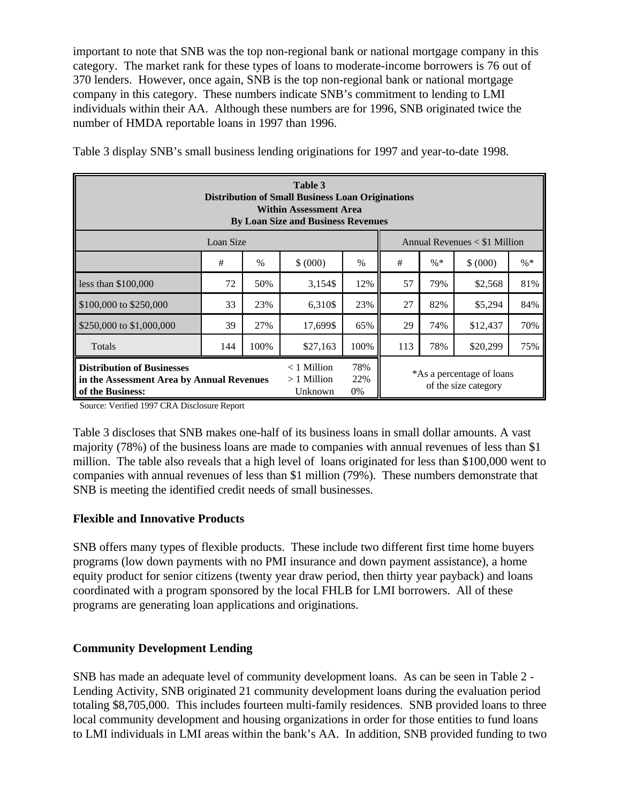important to note that SNB was the top non-regional bank or national mortgage company in this category. The market rank for these types of loans to moderate-income borrowers is 76 out of 370 lenders. However, once again, SNB is the top non-regional bank or national mortgage company in this category. These numbers indicate SNB's commitment to lending to LMI individuals within their AA. Although these numbers are for 1996, SNB originated twice the number of HMDA reportable loans in 1997 than 1996.

| Table 3<br><b>Distribution of Small Business Loan Originations</b><br><b>Within Assessment Area</b><br><b>By Loan Size and Business Revenues</b> |                                          |                     |                                                   |      |                                   |     |          |     |  |
|--------------------------------------------------------------------------------------------------------------------------------------------------|------------------------------------------|---------------------|---------------------------------------------------|------|-----------------------------------|-----|----------|-----|--|
| Loan Size<br>Annual Revenues $<$ \$1 Million                                                                                                     |                                          |                     |                                                   |      |                                   |     |          |     |  |
|                                                                                                                                                  | #                                        | $\%$                | \$ (000)                                          | $\%$ | $\% *$<br>#<br>$\% *$<br>\$ (000) |     |          |     |  |
| less than $$100,000$                                                                                                                             | 72                                       | 50%                 | 3,154\$                                           | 12%  | 57                                | 79% | \$2,568  | 81% |  |
| \$100,000 to \$250,000                                                                                                                           | 33                                       | 23%                 | 6,310\$                                           | 23%  | 27                                | 82% | \$5,294  | 84% |  |
| \$250,000 to \$1,000,000                                                                                                                         | 39                                       | 27%                 | 17,699\$                                          | 65%  | 29<br>74%<br>\$12,437             |     | 70%      |     |  |
| Totals                                                                                                                                           | 144                                      | 100%                | \$27,163                                          | 100% | 113                               | 78% | \$20,299 | 75% |  |
| <b>Distribution of Businesses</b><br>in the Assessment Area by Annual Revenues<br>of the Business:                                               | $<$ 1 Million<br>$>1$ Million<br>Unknown | 78%<br>22%<br>$0\%$ | *As a percentage of loans<br>of the size category |      |                                   |     |          |     |  |

Table 3 display SNB's small business lending originations for 1997 and year-to-date 1998.

Source: Verified 1997 CRA Disclosure Report

Table 3 discloses that SNB makes one-half of its business loans in small dollar amounts. A vast majority (78%) of the business loans are made to companies with annual revenues of less than \$1 million. The table also reveals that a high level of loans originated for less than \$100,000 went to companies with annual revenues of less than \$1 million (79%). These numbers demonstrate that SNB is meeting the identified credit needs of small businesses.

# **Flexible and Innovative Products**

SNB offers many types of flexible products. These include two different first time home buyers programs (low down payments with no PMI insurance and down payment assistance), a home equity product for senior citizens (twenty year draw period, then thirty year payback) and loans coordinated with a program sponsored by the local FHLB for LMI borrowers. All of these programs are generating loan applications and originations.

# **Community Development Lending**

SNB has made an adequate level of community development loans. As can be seen in Table 2 - Lending Activity, SNB originated 21 community development loans during the evaluation period totaling \$8,705,000. This includes fourteen multi-family residences. SNB provided loans to three local community development and housing organizations in order for those entities to fund loans to LMI individuals in LMI areas within the bank's AA. In addition, SNB provided funding to two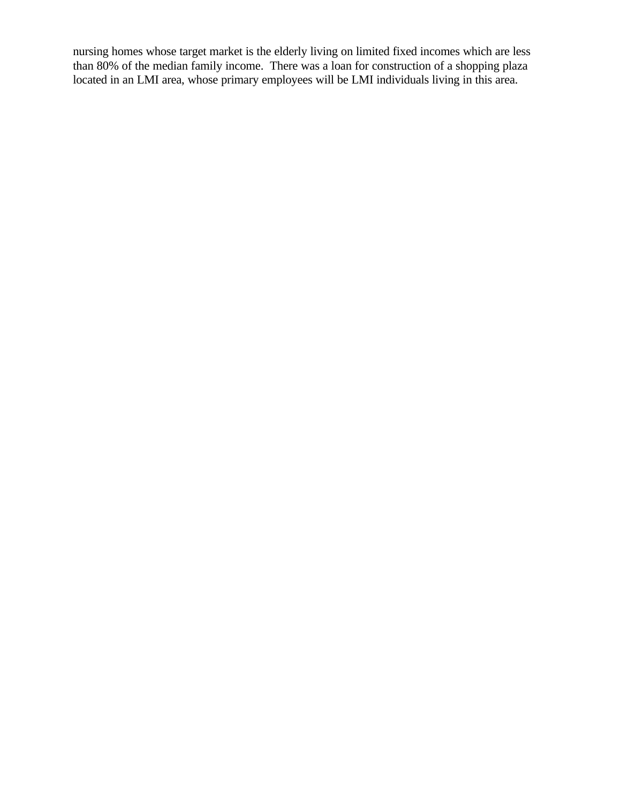nursing homes whose target market is the elderly living on limited fixed incomes which are less than 80% of the median family income. There was a loan for construction of a shopping plaza located in an LMI area, whose primary employees will be LMI individuals living in this area.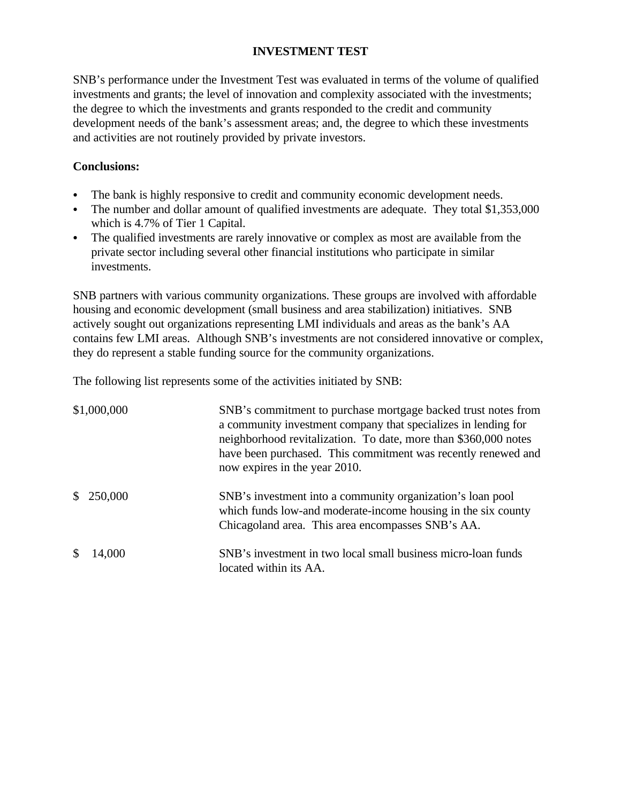# **INVESTMENT TEST**

SNB's performance under the Investment Test was evaluated in terms of the volume of qualified investments and grants; the level of innovation and complexity associated with the investments; the degree to which the investments and grants responded to the credit and community development needs of the bank's assessment areas; and, the degree to which these investments and activities are not routinely provided by private investors.

# **Conclusions:**

- The bank is highly responsive to credit and community economic development needs.
- The number and dollar amount of qualified investments are adequate. They total \$1,353,000 which is 4.7% of Tier 1 Capital.
- The qualified investments are rarely innovative or complex as most are available from the private sector including several other financial institutions who participate in similar investments.

SNB partners with various community organizations. These groups are involved with affordable housing and economic development (small business and area stabilization) initiatives. SNB actively sought out organizations representing LMI individuals and areas as the bank's AA contains few LMI areas. Although SNB's investments are not considered innovative or complex, they do represent a stable funding source for the community organizations.

The following list represents some of the activities initiated by SNB:

| \$1,000,000 | SNB's commitment to purchase mortgage backed trust notes from<br>a community investment company that specializes in lending for<br>neighborhood revitalization. To date, more than \$360,000 notes<br>have been purchased. This commitment was recently renewed and<br>now expires in the year 2010. |
|-------------|------------------------------------------------------------------------------------------------------------------------------------------------------------------------------------------------------------------------------------------------------------------------------------------------------|
| \$250,000   | SNB's investment into a community organization's loan pool<br>which funds low-and moderate-income housing in the six county<br>Chicagoland area. This area encompasses SNB's AA.                                                                                                                     |
| 14,000      | SNB's investment in two local small business micro-loan funds<br>located within its AA.                                                                                                                                                                                                              |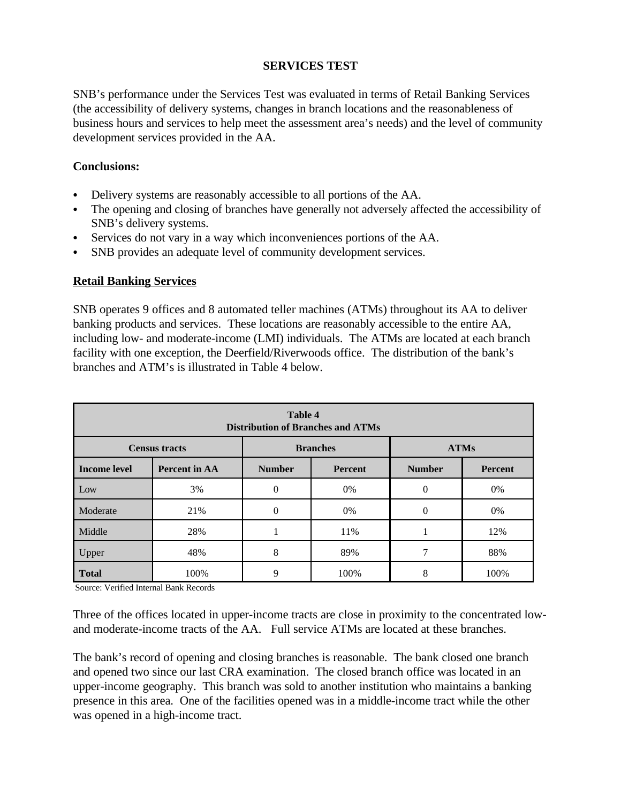### **SERVICES TEST**

SNB's performance under the Services Test was evaluated in terms of Retail Banking Services (the accessibility of delivery systems, changes in branch locations and the reasonableness of business hours and services to help meet the assessment area's needs) and the level of community development services provided in the AA.

## **Conclusions:**

- Delivery systems are reasonably accessible to all portions of the AA.
- The opening and closing of branches have generally not adversely affected the accessibility of SNB's delivery systems.
- Services do not vary in a way which inconveniences portions of the AA.
- SNB provides an adequate level of community development services.

### **Retail Banking Services**

SNB operates 9 offices and 8 automated teller machines (ATMs) throughout its AA to deliver banking products and services. These locations are reasonably accessible to the entire AA, including low- and moderate-income (LMI) individuals. The ATMs are located at each branch facility with one exception, the Deerfield/Riverwoods office. The distribution of the bank's branches and ATM's is illustrated in Table 4 below.

| Table 4<br><b>Distribution of Branches and ATMs</b>    |               |                          |      |               |                |  |  |  |
|--------------------------------------------------------|---------------|--------------------------|------|---------------|----------------|--|--|--|
| <b>Branches</b><br><b>ATMs</b><br><b>Census tracts</b> |               |                          |      |               |                |  |  |  |
| <b>Income level</b>                                    | Percent in AA | <b>Number</b><br>Percent |      | <b>Number</b> | <b>Percent</b> |  |  |  |
| Low                                                    | 3%            | $\Omega$                 | 0%   | $\Omega$      | 0%             |  |  |  |
| Moderate                                               | 21%           | $\theta$                 | 0%   | 0             | 0%             |  |  |  |
| Middle                                                 | 28%           |                          | 11%  |               | 12%            |  |  |  |
| Upper                                                  | 48%           | 8                        | 89%  |               | 88%            |  |  |  |
| <b>Total</b>                                           | 100%          | 9                        | 100% | 8             | 100%           |  |  |  |

Source: Verified Internal Bank Records

Three of the offices located in upper-income tracts are close in proximity to the concentrated lowand moderate-income tracts of the AA. Full service ATMs are located at these branches.

The bank's record of opening and closing branches is reasonable. The bank closed one branch and opened two since our last CRA examination. The closed branch office was located in an upper-income geography. This branch was sold to another institution who maintains a banking presence in this area. One of the facilities opened was in a middle-income tract while the other was opened in a high-income tract.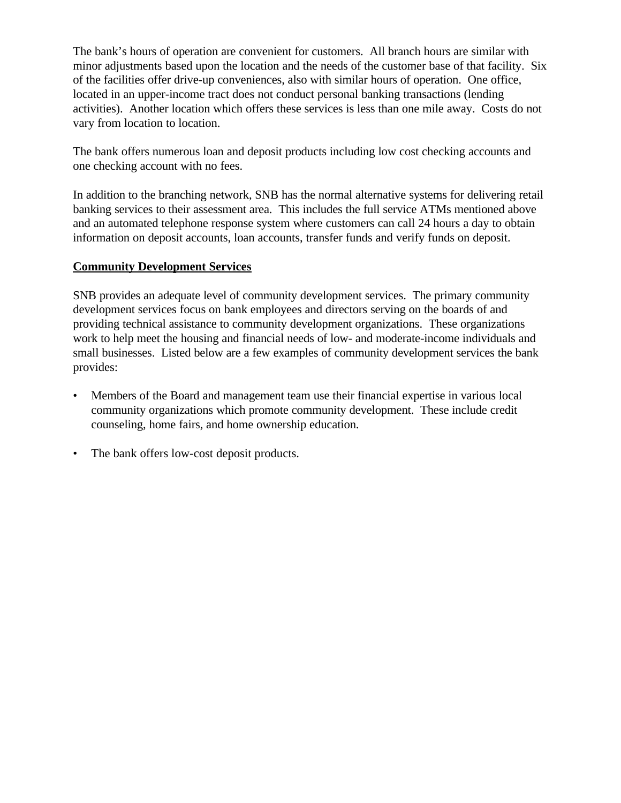The bank's hours of operation are convenient for customers. All branch hours are similar with minor adjustments based upon the location and the needs of the customer base of that facility. Six of the facilities offer drive-up conveniences, also with similar hours of operation. One office, located in an upper-income tract does not conduct personal banking transactions (lending activities). Another location which offers these services is less than one mile away. Costs do not vary from location to location.

The bank offers numerous loan and deposit products including low cost checking accounts and one checking account with no fees.

In addition to the branching network, SNB has the normal alternative systems for delivering retail banking services to their assessment area. This includes the full service ATMs mentioned above and an automated telephone response system where customers can call 24 hours a day to obtain information on deposit accounts, loan accounts, transfer funds and verify funds on deposit.

# **Community Development Services**

SNB provides an adequate level of community development services. The primary community development services focus on bank employees and directors serving on the boards of and providing technical assistance to community development organizations. These organizations work to help meet the housing and financial needs of low- and moderate-income individuals and small businesses. Listed below are a few examples of community development services the bank provides:

- Members of the Board and management team use their financial expertise in various local community organizations which promote community development. These include credit counseling, home fairs, and home ownership education.
- The bank offers low-cost deposit products.